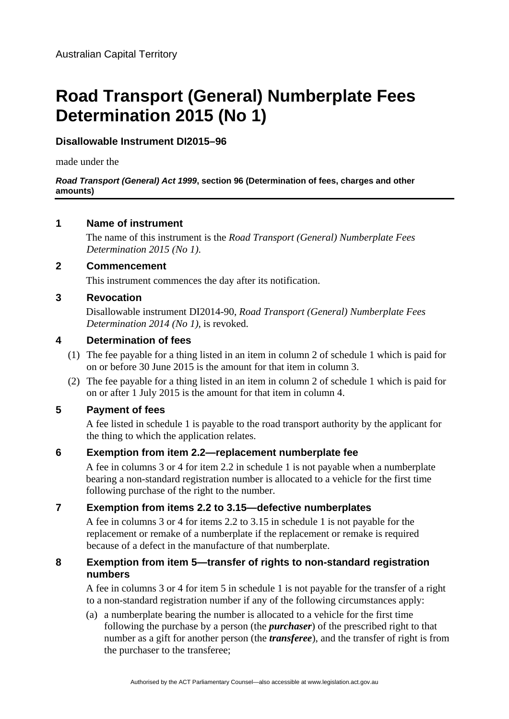# **Road Transport (General) Numberplate Fees Determination 2015 (No 1)**

# **Disallowable Instrument DI2015–96**

made under the

#### *Road Transport (General) Act 1999***, section 96 (Determination of fees, charges and other amounts)**

## **1 Name of instrument**

The name of this instrument is the *Road Transport (General) Numberplate Fees Determination 2015 (No 1)*.

#### **2 Commencement**

This instrument commences the day after its notification.

## **3 Revocation**

Disallowable instrument DI2014-90, *Road Transport (General) Numberplate Fees Determination 2014 (No 1)*, is revoked.

## **4 Determination of fees**

- (1) The fee payable for a thing listed in an item in column 2 of schedule 1 which is paid for on or before 30 June 2015 is the amount for that item in column 3.
- (2) The fee payable for a thing listed in an item in column 2 of schedule 1 which is paid for on or after 1 July 2015 is the amount for that item in column 4.

#### **5 Payment of fees**

A fee listed in schedule 1 is payable to the road transport authority by the applicant for the thing to which the application relates.

# **6 Exemption from item 2.2—replacement numberplate fee**

A fee in columns 3 or 4 for item 2.2 in schedule 1 is not payable when a numberplate bearing a non-standard registration number is allocated to a vehicle for the first time following purchase of the right to the number.

# **7 Exemption from items 2.2 to 3.15—defective numberplates**

A fee in columns 3 or 4 for items 2.2 to 3.15 in schedule 1 is not payable for the replacement or remake of a numberplate if the replacement or remake is required because of a defect in the manufacture of that numberplate.

#### **8 Exemption from item 5—transfer of rights to non-standard registration numbers**

A fee in columns 3 or 4 for item 5 in schedule 1 is not payable for the transfer of a right to a non-standard registration number if any of the following circumstances apply:

(a) a numberplate bearing the number is allocated to a vehicle for the first time following the purchase by a person (the *purchaser*) of the prescribed right to that number as a gift for another person (the *transferee*), and the transfer of right is from the purchaser to the transferee;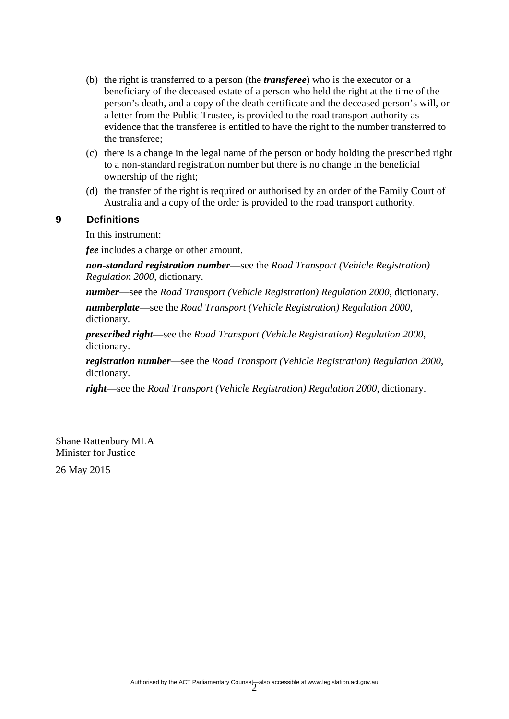- (b) the right is transferred to a person (the *transferee*) who is the executor or a beneficiary of the deceased estate of a person who held the right at the time of the person's death, and a copy of the death certificate and the deceased person's will, or a letter from the Public Trustee, is provided to the road transport authority as evidence that the transferee is entitled to have the right to the number transferred to the transferee;
- (c) there is a change in the legal name of the person or body holding the prescribed right to a non-standard registration number but there is no change in the beneficial ownership of the right;
- (d) the transfer of the right is required or authorised by an order of the Family Court of Australia and a copy of the order is provided to the road transport authority.

#### **9 Definitions**

In this instrument:

*fee* includes a charge or other amount.

*non-standard registration number*—see the *Road Transport (Vehicle Registration) Regulation 2000*, dictionary.

*number*—see the *Road Transport (Vehicle Registration) Regulation 2000*, dictionary.

*numberplate*—see the *Road Transport (Vehicle Registration) Regulation 2000*, dictionary.

*prescribed right*—see the *Road Transport (Vehicle Registration) Regulation 2000*, dictionary.

*registration number*—see the *Road Transport (Vehicle Registration) Regulation 2000*, dictionary.

*right*—see the *Road Transport (Vehicle Registration) Regulation 2000*, dictionary.

Shane Rattenbury MLA Minister for Justice

26 May 2015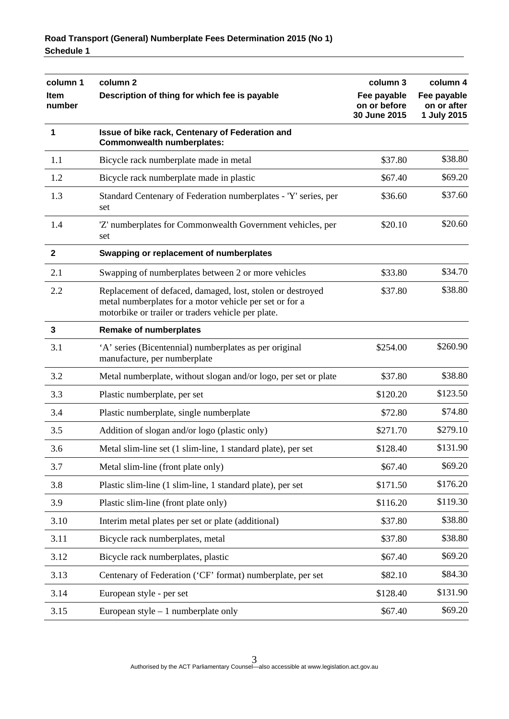| column 1       | column <sub>2</sub>                                                                                                                                                         | column 3                                    | column 4                                  |
|----------------|-----------------------------------------------------------------------------------------------------------------------------------------------------------------------------|---------------------------------------------|-------------------------------------------|
| Item<br>number | Description of thing for which fee is payable                                                                                                                               | Fee payable<br>on or before<br>30 June 2015 | Fee payable<br>on or after<br>1 July 2015 |
| 1              | Issue of bike rack, Centenary of Federation and<br><b>Commonwealth numberplates:</b>                                                                                        |                                             |                                           |
| 1.1            | Bicycle rack numberplate made in metal                                                                                                                                      | \$37.80                                     | \$38.80                                   |
| 1.2            | Bicycle rack numberplate made in plastic                                                                                                                                    | \$67.40                                     | \$69.20                                   |
| 1.3            | Standard Centenary of Federation numberplates - 'Y' series, per<br>set                                                                                                      | \$36.60                                     | \$37.60                                   |
| 1.4            | 'Z' numberplates for Commonwealth Government vehicles, per<br>set                                                                                                           | \$20.10                                     | \$20.60                                   |
| $\mathbf{2}$   | Swapping or replacement of numberplates                                                                                                                                     |                                             |                                           |
| 2.1            | Swapping of numberplates between 2 or more vehicles                                                                                                                         | \$33.80                                     | \$34.70                                   |
| 2.2            | Replacement of defaced, damaged, lost, stolen or destroyed<br>metal numberplates for a motor vehicle per set or for a<br>motorbike or trailer or traders vehicle per plate. | \$37.80                                     | \$38.80                                   |
| 3              | <b>Remake of numberplates</b>                                                                                                                                               |                                             |                                           |
| 3.1            | 'A' series (Bicentennial) numberplates as per original<br>manufacture, per numberplate                                                                                      | \$254.00                                    | \$260.90                                  |
| 3.2            | Metal numberplate, without slogan and/or logo, per set or plate                                                                                                             | \$37.80                                     | \$38.80                                   |
| 3.3            | Plastic numberplate, per set                                                                                                                                                | \$120.20                                    | \$123.50                                  |
| 3.4            | Plastic numberplate, single numberplate                                                                                                                                     | \$72.80                                     | \$74.80                                   |
| 3.5            | Addition of slogan and/or logo (plastic only)                                                                                                                               | \$271.70                                    | \$279.10                                  |
| 3.6            | Metal slim-line set (1 slim-line, 1 standard plate), per set                                                                                                                | \$128.40                                    | \$131.90                                  |
| 3.7            | Metal slim-line (front plate only)                                                                                                                                          | \$67.40                                     | \$69.20                                   |
| 3.8            | Plastic slim-line (1 slim-line, 1 standard plate), per set                                                                                                                  | \$171.50                                    | \$176.20                                  |
| 3.9            | Plastic slim-line (front plate only)                                                                                                                                        | \$116.20                                    | \$119.30                                  |
| 3.10           | Interim metal plates per set or plate (additional)                                                                                                                          | \$37.80                                     | \$38.80                                   |
| 3.11           | Bicycle rack numberplates, metal                                                                                                                                            | \$37.80                                     | \$38.80                                   |
| 3.12           | Bicycle rack numberplates, plastic                                                                                                                                          | \$67.40                                     | \$69.20                                   |
| 3.13           | Centenary of Federation ('CF' format) numberplate, per set                                                                                                                  | \$82.10                                     | \$84.30                                   |
| 3.14           | European style - per set                                                                                                                                                    | \$128.40                                    | \$131.90                                  |
| 3.15           | European style $-1$ numberplate only                                                                                                                                        | \$67.40                                     | \$69.20                                   |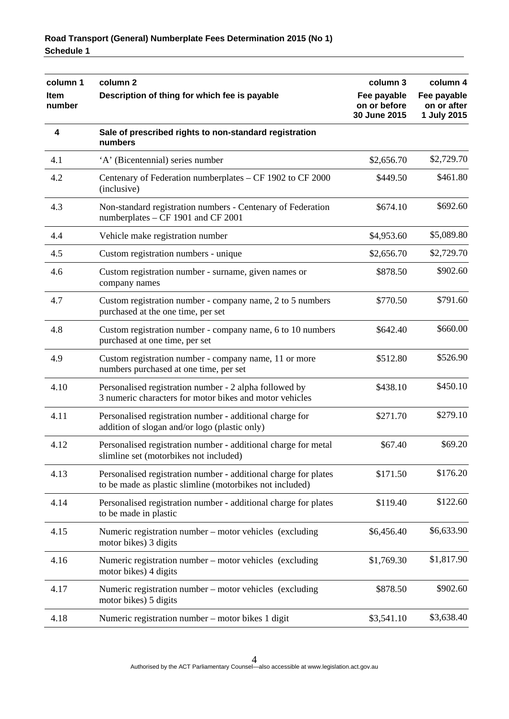| column 1<br><b>Item</b><br>number | column 2<br>Description of thing for which fee is payable                                                                   | column 3                                    | column 4                                  |
|-----------------------------------|-----------------------------------------------------------------------------------------------------------------------------|---------------------------------------------|-------------------------------------------|
|                                   |                                                                                                                             | Fee payable<br>on or before<br>30 June 2015 | Fee payable<br>on or after<br>1 July 2015 |
| 4                                 | Sale of prescribed rights to non-standard registration<br>numbers                                                           |                                             |                                           |
| 4.1                               | 'A' (Bicentennial) series number                                                                                            | \$2,656.70                                  | \$2,729.70                                |
| 4.2                               | Centenary of Federation numberplates - CF 1902 to CF 2000<br>(inclusive)                                                    | \$449.50                                    | \$461.80                                  |
| 4.3                               | Non-standard registration numbers - Centenary of Federation<br>numberplates – CF 1901 and CF 2001                           | \$674.10                                    | \$692.60                                  |
| 4.4                               | Vehicle make registration number                                                                                            | \$4,953.60                                  | \$5,089.80                                |
| 4.5                               | Custom registration numbers - unique                                                                                        | \$2,656.70                                  | \$2,729.70                                |
| 4.6                               | Custom registration number - surname, given names or<br>company names                                                       | \$878.50                                    | \$902.60                                  |
| 4.7                               | Custom registration number - company name, 2 to 5 numbers<br>purchased at the one time, per set                             | \$770.50                                    | \$791.60                                  |
| 4.8                               | Custom registration number - company name, 6 to 10 numbers<br>purchased at one time, per set                                | \$642.40                                    | \$660.00                                  |
| 4.9                               | Custom registration number - company name, 11 or more<br>numbers purchased at one time, per set                             | \$512.80                                    | \$526.90                                  |
| 4.10                              | Personalised registration number - 2 alpha followed by<br>3 numeric characters for motor bikes and motor vehicles           | \$438.10                                    | \$450.10                                  |
| 4.11                              | Personalised registration number - additional charge for<br>addition of slogan and/or logo (plastic only)                   | \$271.70                                    | \$279.10                                  |
| 4.12                              | Personalised registration number - additional charge for metal<br>slimline set (motorbikes not included)                    | \$67.40                                     | \$69.20                                   |
| 4.13                              | Personalised registration number - additional charge for plates<br>to be made as plastic slimline (motorbikes not included) | \$171.50                                    | \$176.20                                  |
| 4.14                              | Personalised registration number - additional charge for plates<br>to be made in plastic                                    | \$119.40                                    | \$122.60                                  |
| 4.15                              | Numeric registration number – motor vehicles (excluding<br>motor bikes) 3 digits                                            | \$6,456.40                                  | \$6,633.90                                |
| 4.16                              | Numeric registration number – motor vehicles (excluding<br>motor bikes) 4 digits                                            | \$1,769.30                                  | \$1,817.90                                |
| 4.17                              | Numeric registration number – motor vehicles (excluding<br>motor bikes) 5 digits                                            | \$878.50                                    | \$902.60                                  |
| 4.18                              | Numeric registration number – motor bikes 1 digit                                                                           | \$3,541.10                                  | \$3,638.40                                |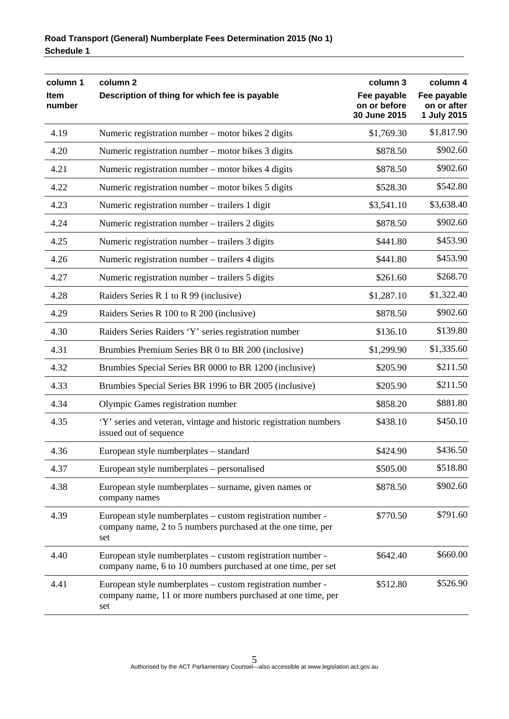| column 1<br><b>Item</b><br>number | column <sub>2</sub><br>Description of thing for which fee is payable                                                             | column 3<br>Fee payable<br>on or before | column 4<br>Fee payable<br>on or after |
|-----------------------------------|----------------------------------------------------------------------------------------------------------------------------------|-----------------------------------------|----------------------------------------|
|                                   |                                                                                                                                  | 30 June 2015                            | 1 July 2015                            |
| 4.19                              | Numeric registration number – motor bikes 2 digits                                                                               | \$1,769.30                              | \$1,817.90                             |
| 4.20                              | Numeric registration number – motor bikes 3 digits                                                                               | \$878.50                                | \$902.60                               |
| 4.21                              | Numeric registration number – motor bikes 4 digits                                                                               | \$878.50                                | \$902.60                               |
| 4.22                              | Numeric registration number – motor bikes 5 digits                                                                               | \$528.30                                | \$542.80                               |
| 4.23                              | Numeric registration number – trailers 1 digit                                                                                   | \$3,541.10                              | \$3,638.40                             |
| 4.24                              | Numeric registration number – trailers 2 digits                                                                                  | \$878.50                                | \$902.60                               |
| 4.25                              | Numeric registration number – trailers 3 digits                                                                                  | \$441.80                                | \$453.90                               |
| 4.26                              | Numeric registration number – trailers 4 digits                                                                                  | \$441.80                                | \$453.90                               |
| 4.27                              | Numeric registration number – trailers 5 digits                                                                                  | \$261.60                                | \$268.70                               |
| 4.28                              | Raiders Series R 1 to R 99 (inclusive)                                                                                           | \$1,287.10                              | \$1,322.40                             |
| 4.29                              | Raiders Series R 100 to R 200 (inclusive)                                                                                        | \$878.50                                | \$902.60                               |
| 4.30                              | Raiders Series Raiders 'Y' series registration number                                                                            | \$136.10                                | \$139.80                               |
| 4.31                              | Brumbies Premium Series BR 0 to BR 200 (inclusive)                                                                               | \$1,299.90                              | \$1,335.60                             |
| 4.32                              | Brumbies Special Series BR 0000 to BR 1200 (inclusive)                                                                           | \$205.90                                | \$211.50                               |
| 4.33                              | Brumbies Special Series BR 1996 to BR 2005 (inclusive)                                                                           | \$205.90                                | \$211.50                               |
| 4.34                              | Olympic Games registration number                                                                                                | \$858.20                                | \$881.80                               |
| 4.35                              | 'Y' series and veteran, vintage and historic registration numbers<br>issued out of sequence                                      | \$438.10                                | \$450.10                               |
| 4.36                              | European style numberplates - standard                                                                                           | \$424.90                                | \$436.50                               |
| 4.37                              | European style numberplates – personalised                                                                                       | \$505.00                                | \$518.80                               |
| 4.38                              | European style numberplates – surname, given names or<br>company names                                                           | \$878.50                                | \$902.60                               |
| 4.39                              | European style numberplates – custom registration number -<br>company name, 2 to 5 numbers purchased at the one time, per<br>set | \$770.50                                | \$791.60                               |
| 4.40                              | European style numberplates – custom registration number -<br>company name, 6 to 10 numbers purchased at one time, per set       | \$642.40                                | \$660.00                               |
| 4.41                              | European style numberplates – custom registration number -<br>company name, 11 or more numbers purchased at one time, per<br>set | \$512.80                                | \$526.90                               |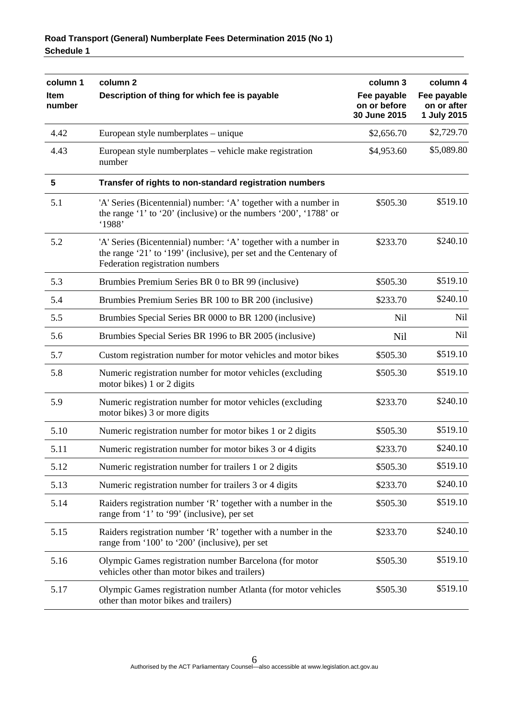| column 1<br><b>Item</b><br>number | column <sub>2</sub><br>Description of thing for which fee is payable                                                                                                    | column 3<br>Fee payable<br>on or before<br>30 June 2015 | column 4<br>Fee payable<br>on or after<br>1 July 2015 |
|-----------------------------------|-------------------------------------------------------------------------------------------------------------------------------------------------------------------------|---------------------------------------------------------|-------------------------------------------------------|
| 4.42                              | European style numberplates – unique                                                                                                                                    | \$2,656.70                                              | \$2,729.70                                            |
| 4.43                              | European style numberplates – vehicle make registration<br>number                                                                                                       | \$4,953.60                                              | \$5,089.80                                            |
| $\overline{\mathbf{5}}$           | Transfer of rights to non-standard registration numbers                                                                                                                 |                                                         |                                                       |
| 5.1                               | 'A' Series (Bicentennial) number: 'A' together with a number in<br>the range '1' to '20' (inclusive) or the numbers '200', '1788' or<br>'1988'                          | \$505.30                                                | \$519.10                                              |
| 5.2                               | 'A' Series (Bicentennial) number: 'A' together with a number in<br>the range '21' to '199' (inclusive), per set and the Centenary of<br>Federation registration numbers | \$233.70                                                | \$240.10                                              |
| 5.3                               | Brumbies Premium Series BR 0 to BR 99 (inclusive)                                                                                                                       | \$505.30                                                | \$519.10                                              |
| 5.4                               | Brumbies Premium Series BR 100 to BR 200 (inclusive)                                                                                                                    | \$233.70                                                | \$240.10                                              |
| 5.5                               | Brumbies Special Series BR 0000 to BR 1200 (inclusive)                                                                                                                  | <b>Nil</b>                                              | Nil                                                   |
| 5.6                               | Brumbies Special Series BR 1996 to BR 2005 (inclusive)                                                                                                                  | Nil                                                     | <b>Nil</b>                                            |
| 5.7                               | Custom registration number for motor vehicles and motor bikes                                                                                                           | \$505.30                                                | \$519.10                                              |
| 5.8                               | Numeric registration number for motor vehicles (excluding<br>motor bikes) 1 or 2 digits                                                                                 | \$505.30                                                | \$519.10                                              |
| 5.9                               | Numeric registration number for motor vehicles (excluding<br>motor bikes) 3 or more digits                                                                              | \$233.70                                                | \$240.10                                              |
| 5.10                              | Numeric registration number for motor bikes 1 or 2 digits                                                                                                               | \$505.30                                                | \$519.10                                              |
| 5.11                              | Numeric registration number for motor bikes 3 or 4 digits                                                                                                               | \$233.70                                                | \$240.10                                              |
| 5.12                              | Numeric registration number for trailers 1 or 2 digits                                                                                                                  | \$505.30                                                | \$519.10                                              |
| 5.13                              | Numeric registration number for trailers 3 or 4 digits                                                                                                                  | \$233.70                                                | \$240.10                                              |
| 5.14                              | Raiders registration number 'R' together with a number in the<br>range from '1' to '99' (inclusive), per set                                                            | \$505.30                                                | \$519.10                                              |
| 5.15                              | Raiders registration number 'R' together with a number in the<br>range from '100' to '200' (inclusive), per set                                                         | \$233.70                                                | \$240.10                                              |
| 5.16                              | Olympic Games registration number Barcelona (for motor<br>vehicles other than motor bikes and trailers)                                                                 | \$505.30                                                | \$519.10                                              |
| 5.17                              | Olympic Games registration number Atlanta (for motor vehicles<br>other than motor bikes and trailers)                                                                   | \$505.30                                                | \$519.10                                              |